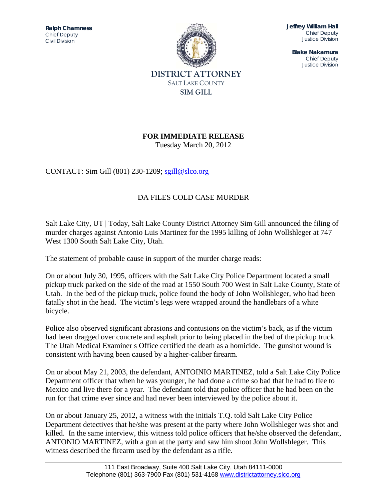*Chief Deputy* **Ralph Chamness**  *Civil Division* 



**Jeffrey William Hall**  *Chief Deputy Justice Division* 

**Blake Nakamura**  *Chief Deputy Justice Division* 

## **FOR IMMEDIATE RELEASE**

Tuesday March 20, 2012

CONTACT: Sim Gill (801) 230-1209; sgill@slco.org

## DA FILES COLD CASE MURDER

Salt Lake City, UT | Today, Salt Lake County District Attorney Sim Gill announced the filing of murder charges against Antonio Luis Martinez for the 1995 killing of John Wollshleger at 747 West 1300 South Salt Lake City, Utah.

The statement of probable cause in support of the murder charge reads:

On or about July 30, 1995, officers with the Salt Lake City Police Department located a small pickup truck parked on the side of the road at 1550 South 700 West in Salt Lake County, State of Utah. In the bed of the pickup truck, police found the body of John Wollshleger, who had been fatally shot in the head. The victim's legs were wrapped around the handlebars of a white bicycle.

Police also observed significant abrasions and contusions on the victim's back, as if the victim had been dragged over concrete and asphalt prior to being placed in the bed of the pickup truck. The Utah Medical Examiner s Office certified the death as a homicide. The gunshot wound is consistent with having been caused by a higher-caliber firearm.

On or about May 21, 2003, the defendant, ANTOINIO MARTINEZ, told a Salt Lake City Police Department officer that when he was younger, he had done a crime so bad that he had to flee to Mexico and live there for a year. The defendant told that police officer that he had been on the run for that crime ever since and had never been interviewed by the police about it.

On or about January 25, 2012, a witness with the initials T.Q. told Salt Lake City Police Department detectives that he/she was present at the party where John Wollshleger was shot and killed. In the same interview, this witness told police officers that he/she observed the defendant, ANTONIO MARTINEZ, with a gun at the party and saw him shoot John Wollshleger. This witness described the firearm used by the defendant as a rifle.